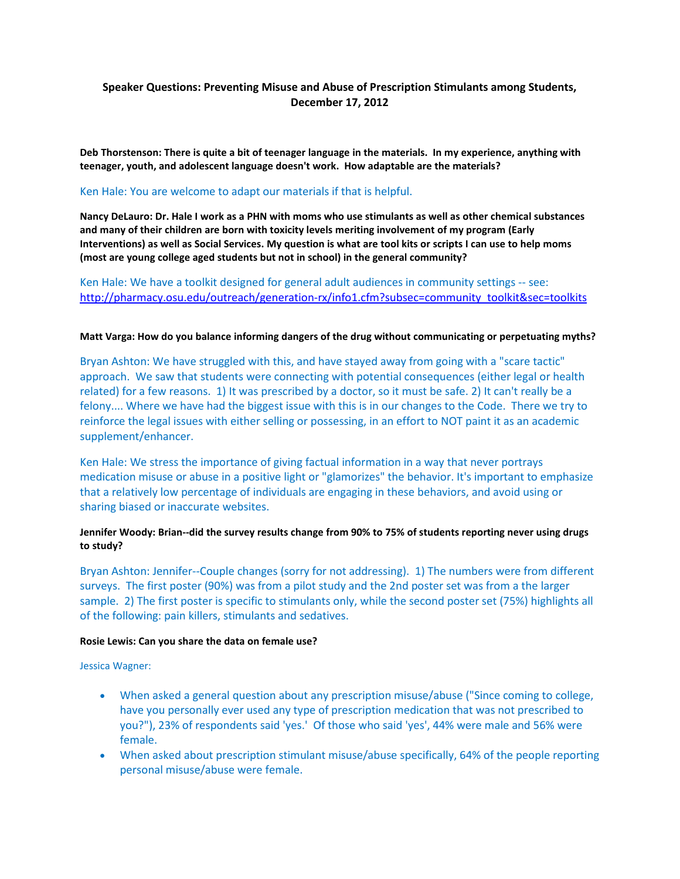# **Speaker Questions: Preventing Misuse and Abuse of Prescription Stimulants among Students, December 17, 2012**

**Deb Thorstenson: There is quite a bit of teenager language in the materials. In my experience, anything with teenager, youth, and adolescent language doesn't work. How adaptable are the materials?**

#### Ken Hale: You are welcome to adapt our materials if that is helpful.

**Nancy DeLauro: Dr. Hale I work as a PHN with moms who use stimulants as well as other chemical substances and many of their children are born with toxicity levels meriting involvement of my program (Early Interventions) as well as Social Services. My question is what are tool kits or scripts I can use to help moms (most are young college aged students but not in school) in the general community?**

Ken Hale: We have a toolkit designed for general adult audiences in community settings -- see: [http://pharmacy.osu.edu/outreach/generation-rx/info1.cfm?subsec=community\\_toolkit&sec=toolkits](http://pharmacy.osu.edu/outreach/generation-rx/info1.cfm?subsec=community_toolkit&sec=toolkits)

#### **Matt Varga: How do you balance informing dangers of the drug without communicating or perpetuating myths?**

Bryan Ashton: We have struggled with this, and have stayed away from going with a "scare tactic" approach. We saw that students were connecting with potential consequences (either legal or health related) for a few reasons. 1) It was prescribed by a doctor, so it must be safe. 2) It can't really be a felony.... Where we have had the biggest issue with this is in our changes to the Code. There we try to reinforce the legal issues with either selling or possessing, in an effort to NOT paint it as an academic supplement/enhancer.

Ken Hale: We stress the importance of giving factual information in a way that never portrays medication misuse or abuse in a positive light or "glamorizes" the behavior. It's important to emphasize that a relatively low percentage of individuals are engaging in these behaviors, and avoid using or sharing biased or inaccurate websites.

## **Jennifer Woody: Brian--did the survey results change from 90% to 75% of students reporting never using drugs to study?**

Bryan Ashton: Jennifer--Couple changes (sorry for not addressing). 1) The numbers were from different surveys. The first poster (90%) was from a pilot study and the 2nd poster set was from a the larger sample. 2) The first poster is specific to stimulants only, while the second poster set (75%) highlights all of the following: pain killers, stimulants and sedatives.

#### **Rosie Lewis: Can you share the data on female use?**

Jessica Wagner:

- When asked a general question about any prescription misuse/abuse ("Since coming to college, have you personally ever used any type of prescription medication that was not prescribed to you?"), 23% of respondents said 'yes.' Of those who said 'yes', 44% were male and 56% were female.
- When asked about prescription stimulant misuse/abuse specifically, 64% of the people reporting personal misuse/abuse were female.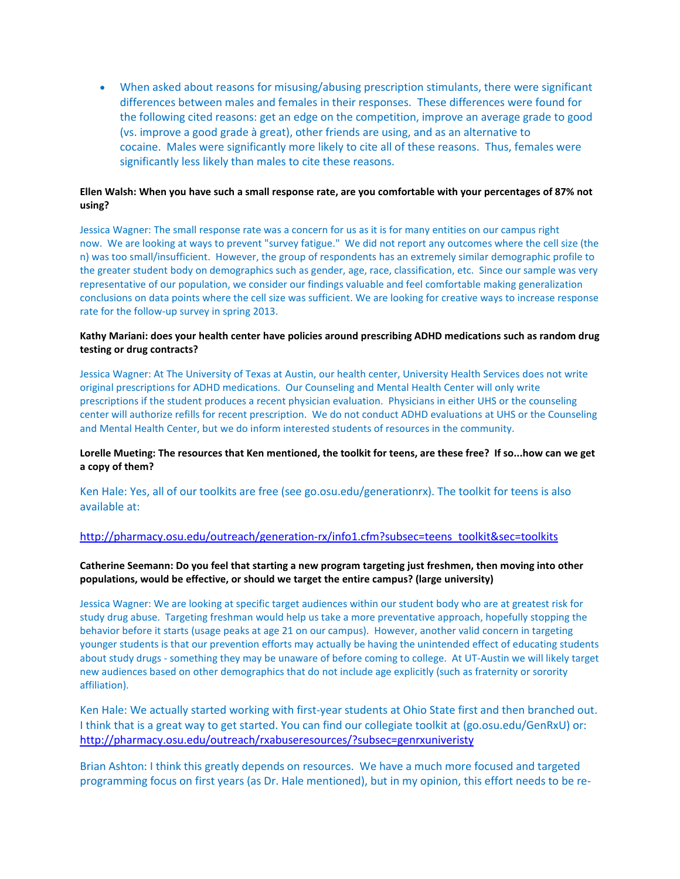• When asked about reasons for misusing/abusing prescription stimulants, there were significant differences between males and females in their responses. These differences were found for the following cited reasons: get an edge on the competition, improve an average grade to good (vs. improve a good grade à great), other friends are using, and as an alternative to cocaine. Males were significantly more likely to cite all of these reasons. Thus, females were significantly less likely than males to cite these reasons.

## **Ellen Walsh: When you have such a small response rate, are you comfortable with your percentages of 87% not using?**

Jessica Wagner: The small response rate was a concern for us as it is for many entities on our campus right now. We are looking at ways to prevent "survey fatigue." We did not report any outcomes where the cell size (the n) was too small/insufficient. However, the group of respondents has an extremely similar demographic profile to the greater student body on demographics such as gender, age, race, classification, etc. Since our sample was very representative of our population, we consider our findings valuable and feel comfortable making generalization conclusions on data points where the cell size was sufficient. We are looking for creative ways to increase response rate for the follow-up survey in spring 2013.

## **Kathy Mariani: does your health center have policies around prescribing ADHD medications such as random drug testing or drug contracts?**

Jessica Wagner: At The University of Texas at Austin, our health center, University Health Services does not write original prescriptions for ADHD medications. Our Counseling and Mental Health Center will only write prescriptions if the student produces a recent physician evaluation. Physicians in either UHS or the counseling center will authorize refills for recent prescription. We do not conduct ADHD evaluations at UHS or the Counseling and Mental Health Center, but we do inform interested students of resources in the community.

## **Lorelle Mueting: The resources that Ken mentioned, the toolkit for teens, are these free? If so...how can we get a copy of them?**

Ken Hale: Yes, all of our toolkits are free (see go.osu.edu/generationrx). The toolkit for teens is also available at:

## [http://pharmacy.osu.edu/outreach/generation-rx/info1.cfm?subsec=teens\\_toolkit&sec=toolkits](http://pharmacy.osu.edu/outreach/generation-rx/info1.cfm?subsec=teens_toolkit&sec=toolkits)

#### **Catherine Seemann: Do you feel that starting a new program targeting just freshmen, then moving into other populations, would be effective, or should we target the entire campus? (large university)**

Jessica Wagner: We are looking at specific target audiences within our student body who are at greatest risk for study drug abuse. Targeting freshman would help us take a more preventative approach, hopefully stopping the behavior before it starts (usage peaks at age 21 on our campus). However, another valid concern in targeting younger students is that our prevention efforts may actually be having the unintended effect of educating students about study drugs - something they may be unaware of before coming to college. At UT-Austin we will likely target new audiences based on other demographics that do not include age explicitly (such as fraternity or sorority affiliation).

Ken Hale: We actually started working with first-year students at Ohio State first and then branched out. I think that is a great way to get started. You can find our collegiate toolkit at (go.osu.edu/GenRxU) or: <http://pharmacy.osu.edu/outreach/rxabuseresources/?subsec=genrxuniveristy>

Brian Ashton: I think this greatly depends on resources. We have a much more focused and targeted programming focus on first years (as Dr. Hale mentioned), but in my opinion, this effort needs to be re